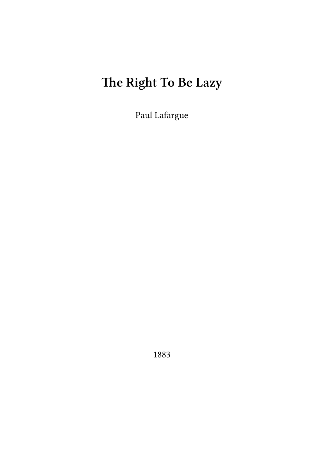# **The Right To Be Lazy**

Paul Lafargue

1883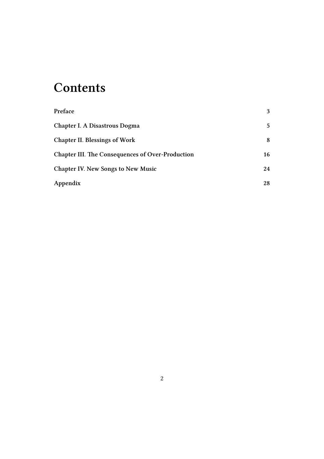## **Contents**

| Preface                                                 | 3  |
|---------------------------------------------------------|----|
| Chapter I. A Disastrous Dogma                           | 5  |
| <b>Chapter II. Blessings of Work</b>                    | 8  |
| <b>Chapter III. The Consequences of Over-Production</b> | 16 |
| <b>Chapter IV. New Songs to New Music</b>               | 24 |
| Appendix                                                | 28 |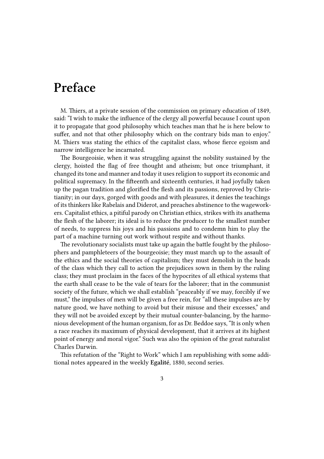#### <span id="page-2-0"></span>**Preface**

M. Thiers, at a private session of the commission on primary education of 1849, said: "I wish to make the influence of the clergy all powerful because I count upon it to propagate that good philosophy which teaches man that he is here below to suffer, and not that other philosophy which on the contrary bids man to enjoy." M. Thiers was stating the ethics of the capitalist class, whose fierce egoism and narrow intelligence he incarnated.

The Bourgeoisie, when it was struggling against the nobility sustained by the clergy, hoisted the flag of free thought and atheism; but once triumphant, it changed its tone and manner and today it uses religion to support its economic and political supremacy. In the fifteenth and sixteenth centuries, it had joyfully taken up the pagan tradition and glorified the flesh and its passions, reproved by Christianity; in our days, gorged with goods and with pleasures, it denies the teachings of its thinkers like Rabelais and Diderot, and preaches abstinence to the wageworkers. Capitalist ethics, a pitiful parody on Christian ethics, strikes with its anathema the flesh of the laborer; its ideal is to reduce the producer to the smallest number of needs, to suppress his joys and his passions and to condemn him to play the part of a machine turning out work without respite and without thanks.

The revolutionary socialists must take up again the battle fought by the philosophers and pamphleteers of the bourgeoisie; they must march up to the assault of the ethics and the social theories of capitalism; they must demolish in the heads of the class which they call to action the prejudices sown in them by the ruling class; they must proclaim in the faces of the hypocrites of all ethical systems that the earth shall cease to be the vale of tears for the laborer; that in the communist society of the future, which we shall establish "peaceably if we may, forcibly if we must," the impulses of men will be given a free rein, for "all these impulses are by nature good, we have nothing to avoid but their misuse and their excesses," and they will not be avoided except by their mutual counter-balancing, by the harmonious development of the human organism, for as Dr. Beddoe says, "It is only when a race reaches its maximum of physical development, that it arrives at its highest point of energy and moral vigor." Such was also the opinion of the great naturalist Charles Darwin.

This refutation of the "Right to Work" which I am republishing with some additional notes appeared in the weekly **Egalité**, 1880, second series.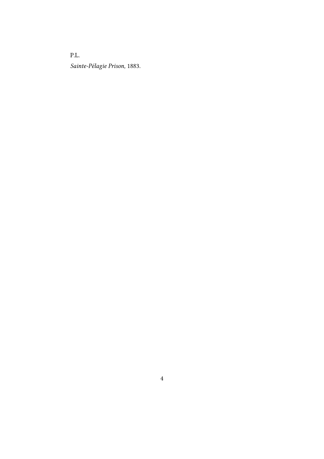P.L. *Sainte-Pélagie Prison,* 1883.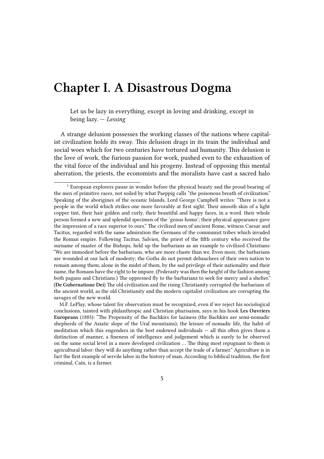#### <span id="page-4-0"></span>**Chapter I. A Disastrous Dogma**

Let us be lazy in everything, except in loving and drinking, except in being lazy. — *Lessing*

A strange delusion possesses the working classes of the nations where capitalist civilization holds its sway. This delusion drags in its train the individual and social woes which for two centuries have tortured sad humanity. This delusion is the love of work, the furious passion for work, pushed even to the exhaustion of the vital force of the individual and his progeny. Instead of opposing this mental aberration, the priests, the economists and the moralists have cast a sacred halo

M.F. LePlay, whose talent for observation must be recognized, even if we reject his sociological conclusions, tainted with philanthropic and Christian pharisaism, says in his hook **Les Ouvriers Europeans** (1885): "The Propensity of the Bachkirs for laziness (the Bachkirs are semi-nomadic shepherds of the Asiatic slope of the Ural mountains); the leisure of nomadic life, the habit of meditation which this engenders in the best endowed individuals — all this often gives them a distinction of manner, a fineness of intelligence and judgement which is rarely to be observed on the same social level in a more developed civilization … The thing most repugnant to them is agricultural labor: they will do anything rather than accept the trade of a farmer." Agriculture is in fact the first example of servile labor in the history of man. According to biblical tradition, the first criminal, Cain, is a farmer.

<sup>&</sup>lt;sup>1</sup> European explorers pause in wonder before the physical beauty and the proud bearing of the men of primitive races, not soiled by what Paeppig calls "the poisonous breath of civilization." Speaking of the aborigines of the oceanic Islands, Lord George Campbell writes: "There is not a people in the world which strikes one more favorably at first sight. Their smooth skin of a light copper tint, their hair golden and curly, their beautiful and happy faces, in a word. their whole person formed a new and splendid specimen of the 'genus homo'; their physical appearance gave the impression of a race superior to ours." The civilized men of ancient Rome, witness Caesar and Tacitus, regarded with the same admiration the Germans of the communist tribes which invaded the Roman empire. Following Tacitus, Salvien, the priest of the fifth century who received the surname of master of the Bishops, held up the barbarians as an example to civilized Christians: "We are immodest before the barbarians, who are more chaste than we. Even more, the barbarians are wounded at our lack of modesty; the Goths do not permit debauchees of their own nation to remain among them; alone in the midst of them, by the sad privilege of their nationality and their name, the Romans have the right to be impure. (Pederasty was then the height of the fashion among both pagans and Christians.) The oppressed fly to the barbarians to seek for mercy and a shelter." (**De Gubernatione Dei**) The old civilization and the rising Christianity corrupted the barbarians of the ancient world, as the old Christianity and the modern capitalist civilization are corrupting the savages of the new world.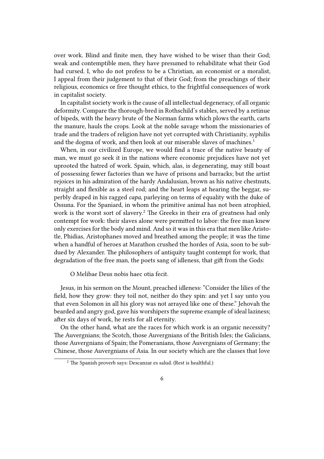over work. Blind and finite men, they have wished to be wiser than their God; weak and contemptible men, they have presumed to rehabilitate what their God had cursed. I, who do not profess to be a Christian, an economist or a moralist, I appeal from their judgement to that of their God; from the preachings of their religious, economics or free thought ethics, to the frightful consequences of work in capitalist society.

In capitalist society work is the cause of all intellectual degeneracy, of all organic deformity. Compare the thorough-bred in Rothschild's stables, served by a retinue of bipeds, with the heavy brute of the Norman farms which plows the earth, carts the manure, hauls the crops. Look at the noble savage whom the missionaries of trade and the traders of religion have not yet corrupted with Christianity, syphilis and the dogma of work, and then look at our miserable slaves of machines.<sup>1</sup>

When, in our civilized Europe, we would find a trace of the native beauty of man, we must go seek it in the nations where economic prejudices have not yet uprooted the hatred of work. Spain, which, alas, is degenerating, may still boast of possessing fewer factories than we have of prisons and barracks; but the artist rejoices in his admiration of the hardy Andalusian, brown as his native chestnuts, straight and flexible as a steel rod; and the heart leaps at hearing the beggar, superbly draped in his ragged *capa*, parleying on terms of equality with the duke of Ossuna. For the Spaniard, in whom the primitive animal has not been atrophied, work is the worst sort of slavery.<sup>2</sup> The Greeks in their era of greatness had only contempt for work: their slaves alone were permitted to labor: the free man knew only exercises for the body and mind. And so it was in this era that men like Aristotle, Phidias, Aristophanes moved and breathed among the people; it was the time when a handful of heroes at Marathon crushed the hordes of Asia, soon to be subdued by Alexander. The philosophers of antiquity taught contempt for work, that degradation of the free man, the poets sang of idleness, that gift from the Gods:

O Melibae Deus nobis haec otia fecit.

Jesus, in his sermon on the Mount, preached idleness: "Consider the lilies of the field, how they grow: they toil not, neither do they spin: and yet I say unto you that even Solomon in all his glory was not arrayed like one of these." Jehovah the bearded and angry god, gave his worshipers the supreme example of ideal laziness; after six days of work, he rests for all eternity.

On the other hand, what are the races for which work is an organic necessity? The Auvergnians; the Scotch, those Auvergnians of the British Isles; the Galicians, those Auvergnians of Spain; the Pomeranians, those Auvergnians of Germany; the Chinese, those Auvergnians of Asia. In our society which are the classes that love

 $2$  The Spanish proverb says: Descanzar es salud. (Rest is healthful.)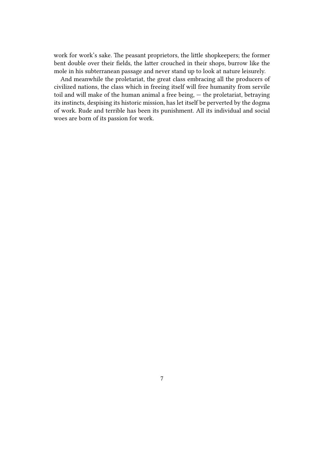work for work's sake. The peasant proprietors, the little shopkeepers; the former bent double over their fields, the latter crouched in their shops, burrow like the mole in his subterranean passage and never stand up to look at nature leisurely.

And meanwhile the proletariat, the great class embracing all the producers of civilized nations, the class which in freeing itself will free humanity from servile toil and will make of the human animal a free being, — the proletariat, betraying its instincts, despising its historic mission, has let itself be perverted by the dogma of work. Rude and terrible has been its punishment. All its individual and social woes are born of its passion for work.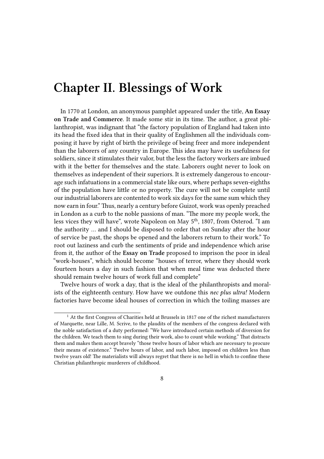#### <span id="page-7-0"></span>**Chapter II. Blessings of Work**

In 1770 at London, an anonymous pamphlet appeared under the title, **An Essay on Trade and Commerce**. It made some stir in its time. The author, a great philanthropist, was indignant that "the factory population of England had taken into its head the fixed idea that in their quality of Englishmen all the individuals composing it have by right of birth the privilege of being freer and more independent than the laborers of any country in Europe. This idea may have its usefulness for soldiers, since it stimulates their valor, but the less the factory workers are imbued with it the better for themselves and the state. Laborers ought never to look on themselves as independent of their superiors. It is extremely dangerous to encourage such infatuations in a commercial state like ours, where perhaps seven-eighths of the population have little or no property. The cure will not be complete until our industrial laborers are contented to work six days for the same sum which they now earn in four." Thus, nearly a century before Guizot, work was openly preached in London as a curb to the noble passions of man. "The more my people work, the less vices they will have", wrote Napoleon on May 5<sup>th</sup>, 1807, from Osterod. "I am the authority … and I should be disposed to order that on Sunday after the hour of service be past, the shops be opened and the laborers return to their work." To root out laziness and curb the sentiments of pride and independence which arise from it, the author of the **Essay on Trade** proposed to imprison the poor in ideal "work-houses", which should become "houses of terror, where they should work fourteen hours a day in such fashion that when meal time was deducted there should remain twelve hours of work full and complete"

Twelve hours of work a day, that is the ideal of the philanthropists and moralists of the eighteenth century. How have we outdone this *nec plus ultra!* Modern factories have become ideal houses of correction in which the toiling masses are

<sup>&</sup>lt;sup>1</sup> At the first Congress of Charities held at Brussels in 1817 one of the richest manufacturers of Marquette, near Lille, M. Scrive, to the plaudits of the members of the congress declared with the noble satisfaction of a duty performed: "We have introduced certain methods of diversion for the children. We teach them to sing during their work, also to count while working." That distracts them and makes them accept bravely "those twelve hours of labor which are necessary to procure their means of existence." Twelve hours of labor, and such labor, imposed on children less than twelve years old! The materialists will always regret that there is no hell in which to confine these Christian philanthropic murderers of childhood.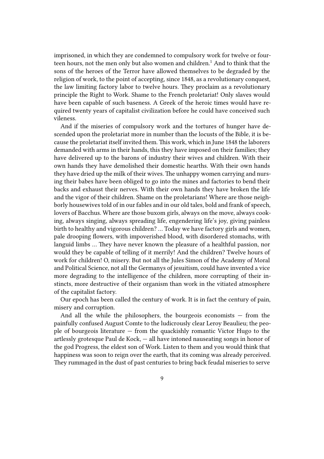imprisoned, in which they are condemned to compulsory work for twelve or fourteen hours, not the men only but also women and children.<sup>1</sup> And to think that the sons of the heroes of the Terror have allowed themselves to be degraded by the religion of work, to the point of accepting, since 1848, as a revolutionary conquest, the law limiting factory labor to twelve hours. They proclaim as a revolutionary principle the Right to Work. Shame to the French proletariat! Only slaves would have been capable of such baseness. A Greek of the heroic times would have required twenty years of capitalist civilization before he could have conceived such vileness.

And if the miseries of compulsory work and the tortures of hunger have descended upon the proletariat more in number than the locusts of the Bible, it is because the proletariat itself invited them. This work, which in June 1848 the laborers demanded with arms in their hands, this they have imposed on their families; they have delivered up to the barons of industry their wives and children. With their own hands they have demolished their domestic hearths. With their own hands they have dried up the milk of their wives. The unhappy women carrying and nursing their babes have been obliged to go into the mines and factories to bend their backs and exhaust their nerves. With their own hands they have broken the life and the vigor of their children. Shame on the proletarians! Where are those neighborly housewives told of in our fables and in our old tales, bold and frank of speech, lovers of Bacchus. Where are those buxom girls, always on the move, always cooking, always singing, always spreading life, engendering life's joy, giving painless birth to healthy and vigorous children? … Today we have factory girls and women, pale drooping flowers, with impoverished blood, with disordered stomachs, with languid limbs … They have never known the pleasure of a healthful passion, nor would they be capable of telling of it merrily! And the children? Twelve hours of work for children! O, misery. But not all the Jules Simon of the Academy of Moral and Political Science, not all the Germanys of jesuitism, could have invented a vice more degrading to the intelligence of the children, more corrupting of their instincts, more destructive of their organism than work in the vitiated atmosphere of the capitalist factory.

Our epoch has been called the century of work. It is in fact the century of pain, misery and corruption.

And all the while the philosophers, the bourgeois economists  $-$  from the painfully confused August Comte to the ludicrously clear Leroy Beaulieu; the people of bourgeois literature  $-$  from the quackishly romantic Victor Hugo to the artlessly grotesque Paul de Kock, — all have intoned nauseating songs in honor of the god Progress, the eldest son of Work. Listen to them and you would think that happiness was soon to reign over the earth, that its coming was already perceived. They rummaged in the dust of past centuries to bring back feudal miseries to serve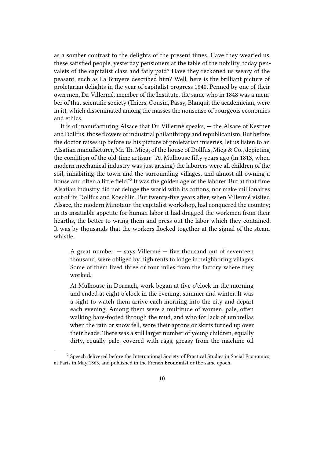as a somber contrast to the delights of the present times. Have they wearied us, these satisfied people, yesterday pensioners at the table of the nobility, today penvalets of the capitalist class and fatly paid? Have they reckoned us weary of the peasant, such as La Bruyere described him? Well, here is the brilliant picture of proletarian delights in the year of capitalist progress 1840, Penned by one of their own men, Dr. Villermé, member of the Institute, the same who in 1848 was a member of that scientific society (Thiers, Cousin, Passy, Blanqui, the academician, were in it), which disseminated among the masses the nonsense of bourgeois economics and ethics.

It is of manufacturing Alsace that Dr. Villermé speaks, — the Alsace of Kestner and Dollfus, those flowers of industrial philanthropy and republicanism. But before the doctor raises up before us his picture of proletarian miseries, let us listen to an Alsatian manufacturer, Mr. Th. Mieg, of the house of Dollfus, Mieg & Co., depicting the condition of the old-time artisan: "At Mulhouse fifty years ago (in 1813, when modern mechanical industry was just arising) the laborers were all children of the soil, inhabiting the town and the surrounding villages, and almost all owning a house and often a little field."<sup>2</sup> It was the golden age of the laborer. But at that time Alsatian industry did not deluge the world with its cottons, nor make millionaires out of its Dollfus and Koechlin. But twenty-five years after, when Villermé visited Alsace, the modern Minotaur, the capitalist workshop, had conquered the country; in its insatiable appetite for human labor it had dragged the workmen from their hearths, the better to wring them and press out the labor which they contained. It was by thousands that the workers flocked together at the signal of the steam whistle.

A great number,  $-$  says Villermé  $-$  five thousand out of seventeen thousand, were obliged by high rents to lodge in neighboring villages. Some of them lived three or four miles from the factory where they worked.

At Mulhouse in Dornach, work began at five o'clock in the morning and ended at eight o'clock in the evening, summer and winter. It was a sight to watch them arrive each morning into the city and depart each evening. Among them were a multitude of women, pale, often walking bare-footed through the mud, and who for lack of umbrellas when the rain or snow fell, wore their aprons or skirts turned up over their heads. There was a still larger number of young children, equally dirty, equally pale, covered with rags, greasy from the machine oil

 $2$  Speech delivered before the International Society of Practical Studies in Social Economics, at Paris in May 1863, and published in the French **Economist** or the same epoch.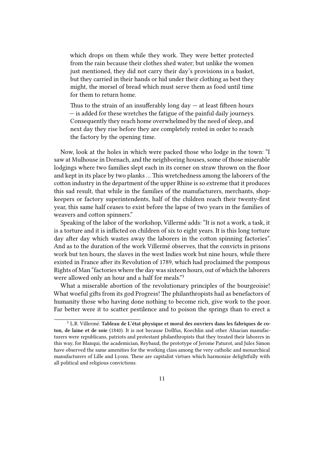which drops on them while they work. They were better protected from the rain because their clothes shed water; but unlike the women just mentioned, they did not carry their day's provisions in a basket, but they carried in their hands or hid under their clothing as best they might, the morsel of bread which must serve them as food until time for them to return home.

Thus to the strain of an insufferably long day  $-$  at least fifteen hours — is added for these wretches the fatigue of the painful daily journeys. Consequently they reach home overwhelmed by the need of sleep, and next day they rise before they are completely rested in order to reach the factory by the opening time.

Now, look at the holes in which were packed those who lodge in the town: "I saw at Mulhouse in Dornach, and the neighboring houses, some of those miserable lodgings where two families slept each in its corner on straw thrown on the floor and kept in its place by two planks … This wretchedness among the laborers of the cotton industry in the department of the upper Rhine is so extreme that it produces this sad result, that while in the families of the manufacturers, merchants, shopkeepers or factory superintendents, half of the children reach their twenty-first year, this same half ceases to exist before the lapse of two years in the families of weavers and cotton spinners."

Speaking of the labor of the workshop, Villermé adds: "It is not a work, a task, it is a torture and it is inflicted on children of six to eight years. It is this long torture day after day which wastes away the laborers in the cotton spinning factories". And as to the duration of the work Villermé observes, that the convicts in prisons work but ten hours, the slaves in the west Indies work but nine hours, while there existed in France after its Revolution of 1789, which had proclaimed the pompous Rights of Man "factories where the day was sixteen hours, out of which the laborers were allowed only an hour and a half for meals."<sup>3</sup>

What a miserable abortion of the revolutionary principles of the bourgeoisie! What woeful gifts from its god Progress! The philanthropists hail as benefactors of humanity those who having done nothing to become rich, give work to the poor. Far better were it to scatter pestilence and to poison the springs than to erect a

<sup>3</sup> L.R. Villermé. **Tableau de L'état physique et moral des ouvriers dans les fabriques de coton, de laine et de soie** (1840). It is not because Dollfus, Koechlin and other Alsacian manufacturers were republicans, patriots and protestant philanthropists that they treated their laborers in this way, for Blanqui, the academician, Reybaud, the prototype of Jerome Paturot, and Jules Simon have observed the same amenities for the working class among the very catholic and monarchical manufacturers of Lille and Lyons. These are capitalist virtues which harmonize delightfully with all political and religious convictions.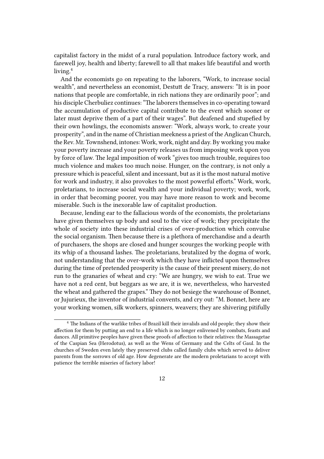capitalist factory in the midst of a rural population. Introduce factory work, and farewell joy, health and liberty; farewell to all that makes life beautiful and worth living.<sup>4</sup>

And the economists go on repeating to the laborers, "Work, to increase social wealth", and nevertheless an economist, Destutt de Tracy, answers: "It is in poor nations that people are comfortable, in rich nations they are ordinarily poor"; and his disciple Cherbuliez continues: "The laborers themselves in co-operating toward the accumulation of productive capital contribute to the event which sooner or later must deprive them of a part of their wages". But deafened and stupefied by their own howlings, the economists answer: "Work, always work, to create your prosperity", and in the name of Christian meekness a priest of the Anglican Church, the Rev. Mr. Townshend, intones: Work, work, night and day. By working you make your poverty increase and your poverty releases us from imposing work upon you by force of law. The legal imposition of work "gives too much trouble, requires too much violence and makes too much noise. Hunger, on the contrary, is not only a pressure which is peaceful, silent and incessant, but as it is the most natural motive for work and industry, it also provokes to the most powerful efforts." Work, work, proletarians, to increase social wealth and your individual poverty; work, work, in order that becoming poorer, you may have more reason to work and become miserable. Such is the inexorable law of capitalist production.

Because, lending ear to the fallacious words of the economists, the proletarians have given themselves up body and soul to the vice of work; they precipitate the whole of society into these industrial crises of over-production which convulse the social organism. Then because there is a plethora of merchandise and a dearth of purchasers, the shops are closed and hunger scourges the working people with its whip of a thousand lashes. The proletarians, brutalized by the dogma of work, not understanding that the over-work which they have inflicted upon themselves during the time of pretended prosperity is the cause of their present misery, do not run to the granaries of wheat and cry: "We are hungry, we wish to eat. True we have not a red cent, but beggars as we are, it is we, nevertheless, who harvested the wheat and gathered the grapes." They do not besiege the warehouse of Bonnet, or Jujurieux, the inventor of industrial convents, and cry out: "M. Bonnet, here are your working women, silk workers, spinners, weavers; they are shivering pitifully

<sup>&</sup>lt;sup>4</sup> The Indians of the warlike tribes of Brazil kill their invalids and old people; they show their affection for them by putting an end to a life which is no longer enlivened by combats, feasts and dances. All primitive peoples have given these proofs of affection to their relatives: the Massagetae of the Caspian Sea (Herodotus), as well as the Wens of Germany and the Celts of Gaul. In the churches of Sweden even lately they preserved clubs called family clubs which served to deliver parents from the sorrows of old age. How degenerate are the modern proletarians to accept with patience the terrible miseries of factory labor!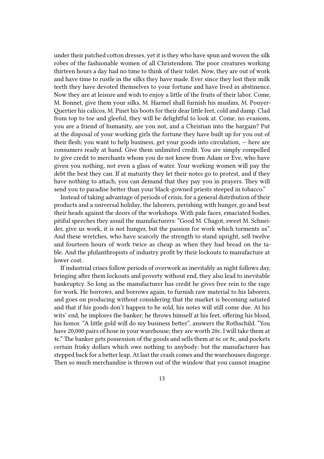under their patched cotton dresses, yet it is they who have spun and woven the silk robes of the fashionable women of all Christendom. The poor creatures working thirteen hours a day had no time to think of their toilet. Now, they are out of work and have time to rustle in the silks they have made. Ever since they lost their milk teeth they have devoted themselves to your fortune and have lived in abstinence. Now they are at leisure and wish to enjoy a little of the fruits of their labor. Come, M. Bonnet, give them your silks, M. Harmel shall furnish his muslins, M. Pouyer-Quertier his calicos, M. Pinet his boots for their dear little feet, cold and damp. Clad from top to toe and gleeful, they will be delightful to look at. Come, no evasions, you are a friend of humanity, are you not, and a Christian into the bargain? Put at the disposal of your working girls the fortune they have built up for you out of their flesh; you want to help business, get your goods into circulation, — here are consumers ready at hand. Give them unlimited credit. You are simply compelled to give credit to merchants whom you do not know from Adam or Eve, who have given you nothing, not even a glass of water. Your working women will pay the debt the best they can. If at maturity they let their notes go to protest, and if they have nothing to attach, you can demand that they pay you in prayers. They will send you to paradise better than your black-gowned priests steeped in tobacco."

Instead of taking advantage of periods of crisis, for a general distribution of their products and a universal holiday, the laborers, perishing with hunger, go and beat their heads against the doors of the workshops. With pale faces, emaciated bodies, pitiful speeches they assail the manufacturers: "Good M. Chagot, sweet M. Schneider, give us work, it is not hunger, but the passion for work which torments us". And these wretches, who have scarcely the strength to stand upright, sell twelve and fourteen hours of work twice as cheap as when they had bread on the table. And the philanthropists of industry profit by their lockouts to manufacture at lower cost.

If industrial crises follow periods of overwork as inevitably as night follows day, bringing after them lockouts and poverty without end, they also lead to inevitable bankruptcy. So long as the manufacturer has credit he gives free rein to the rage for work. He borrows, and borrows again, to furnish raw material to his laborers, and goes on producing without considering that the market is becoming satiated and that if his goods don't happen to be sold, his notes will still come due. At his wits' end, he implores the banker; he throws himself at his feet, offering his blood, his honor. "A little gold will do my business better", answers the Rothschild. "You have 20,000 pairs of hose in your warehouse; they are worth 20c. I will take them at 4c." The banker gets possession of the goods and sells them at 6c or 8c, and pockets certain frisky dollars which owe nothing to anybody: but the manufacturer has stepped back for a better leap. At last the crash comes and the warehouses disgorge. Then so much merchandise is thrown out of the window that you cannot imagine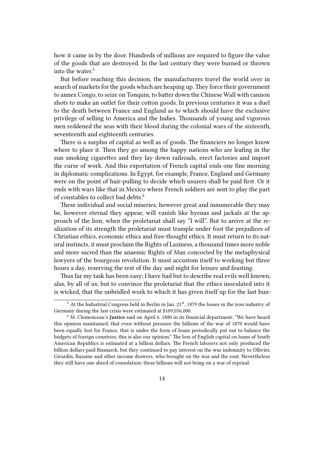how it came in by the door. Hundreds of millions are required to figure the value of the goods that are destroyed. In the last century they were burned or thrown into the water.<sup>5</sup>

But before reaching this decision, the manufacturers travel the world over in search of markets for the goods which are heaping up. They force their government to annex Congo, to seize on Tonquin, to batter down the Chinese Wall with cannon shots to make an outlet for their cotton goods. In previous centuries it was a duel to the death between France and England as to which should have the exclusive privilege of selling to America and the Indies. Thousands of young and vigorous men reddened the seas with their blood during the colonial wars of the sixteenth, seventeenth and eighteenth centuries.

There is a surplus of capital as well as of goods. The financiers no longer know where to place it. Then they go among the happy nations who are leafing in the sun smoking cigarettes and they lay down railroads, erect factories and import the curse of work. And this exportation of French capital ends one fine morning in diplomatic complications. In Egypt, for example, France, England and Germany were on the point of hair-pulling to decide which usurers shall be paid first. Or it ends with wars like that in Mexico where French soldiers are sent to play the part of constables to collect bad debts.<sup>6</sup>

These individual and social miseries, however great and innumerable they may be, however eternal they appear, will vanish like hyenas and jackals at the approach of the lion, when the proletariat shall say "I will". But to arrive at the realization of its strength the proletariat must trample under foot the prejudices of Christian ethics, economic ethics and free-thought ethics. It must return to its natural instincts, it must proclaim the Rights of Laziness, a thousand times more noble and more sacred than the anaemic Rights of Man concocted by the metaphysical lawyers of the bourgeois revolution. It must accustom itself to working but three hours a day, reserving the rest of the day and night for leisure and feasting.

Thus far my task has been easy; I have had but to describe real evils well known, alas, by all of us; but to convince the proletariat that the ethics inoculated into it is wicked, that the unbridled work to which it has given itself up for the last hun-

<sup>&</sup>lt;sup>5</sup> At the Industrial Congress held in Berlin in Jan. 21<sup>st</sup>, 1879 the losses in the iron industry of Germany during the last crisis were estimated at \$109,056,000.

<sup>6</sup> M. Clemenceau's **Justice** said on April 6. 1880 in its financial department: "We have heard this opinion maintained, that even without pressure the billions of the war of 1870 would have been equally lost for France, that is under the form of loans periodically put out to balance the budgets of foreign countries; this is also our opinion." The loss of English capital on loans of South American Republics is estimated at a billion dollars. The French laborers not only produced the billion dollars paid Bismarck, but they continued to pay interest on the war indemnity to Ollivier, Girardin, Bazaine and other income drawers, who brought on the war and the rout. Nevertheless they still have one shred of consolation: these billions will not bring on a war of reprisal.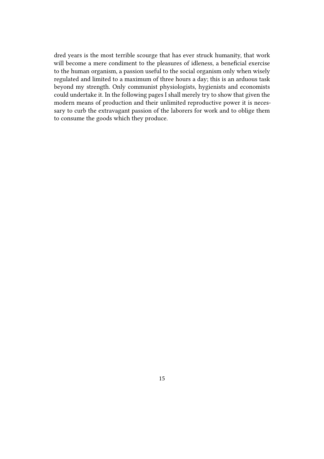dred years is the most terrible scourge that has ever struck humanity, that work will become a mere condiment to the pleasures of idleness, a beneficial exercise to the human organism, a passion useful to the social organism only when wisely regulated and limited to a maximum of three hours a day; this is an arduous task beyond my strength. Only communist physiologists, hygienists and economists could undertake it. In the following pages I shall merely try to show that given the modern means of production and their unlimited reproductive power it is necessary to curb the extravagant passion of the laborers for work and to oblige them to consume the goods which they produce.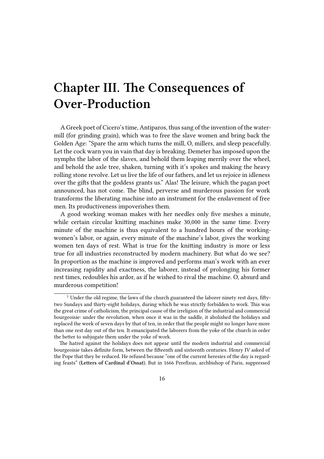# <span id="page-15-0"></span>**Chapter III. The Consequences of Over-Production**

A Greek poet of Cicero's time, Antiparos, thus sang of the invention of the watermill (for grinding grain), which was to free the slave women and bring back the Golden Age: "Spare the arm which turns the mill, O, millers, and sleep peacefully. Let the cock warn you in vain that day is breaking. Demeter has imposed upon the nymphs the labor of the slaves, and behold them leaping merrily over the wheel, and behold the axle tree, shaken, turning with it's spokes and making the heavy rolling stone revolve. Let us live the life of our fathers, and let us rejoice in idleness over the gifts that the goddess grants us." Alas! The leisure, which the pagan poet announced, has not come. The blind, perverse and murderous passion for work transforms the liberating machine into an instrument for the enslavement of free men. Its productiveness impoverishes them.

A good working woman makes with her needles only five meshes a minute, while certain circular knitting machines make 30,000 in the same time. Every minute of the machine is thus equivalent to a hundred hours of the workingwomen's labor, or again, every minute of the machine's labor, gives the working women ten days of rest. What is true for the knitting industry is more or less true for all industries reconstructed by modern machinery. But what do we see? In proportion as the machine is improved and performs man's work with an ever increasing rapidity and exactness, the laborer, instead of prolonging his former rest times, redoubles his ardor, as if he wished to rival the machine. O, absurd and murderous competition!

 $1$  Under the old regime, the laws of the church guaranteed the laborer ninety rest days, fiftytwo Sundays and thirty-eight holidays, during which he was strictly forbidden to work. This was the great crime of catholicism, the principal cause of the irreligion of the industrial and commercial bourgeoisie: under the revolution, when once it was in the saddle, it abolished the holidays and replaced the week of seven days by that of ten, in order that the people might no longer have more than one rest day out of the ten. It emancipated the laborers from the yoke of the church in order the better to subjugate them under the yoke of work.

The hatred against the holidays does not appear until the modern industrial and commercial bourgeoisie takes definite form, between the fifteenth and sixteenth centuries. Henry IV asked of the Pope that they be reduced. He refused because "one of the current heresies of the day is regarding feasts" (**Letters of Cardinal d'Ossat**). But in 1666 Perefixus, archbishop of Paris, suppressed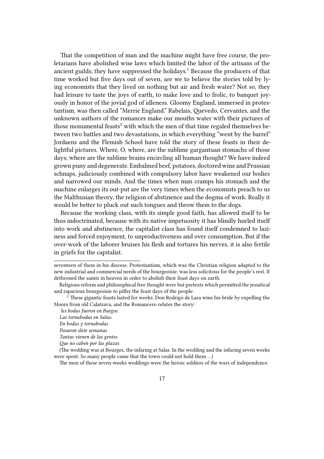That the competition of man and the machine might have free course, the proletarians have abolished wise laws which limited the labor of the artisans of the ancient guilds; they have suppressed the holidays.<sup>1</sup> Because the producers of that time worked but five days out of seven, are we to believe the stories told by lying economists that they lived on nothing but air and fresh water? Not so, they had leisure to taste the joys of earth, to make love and to frolic, to banquet joyously in honor of the jovial god of idleness. Gloomy England, immersed in protestantism, was then called "Merrie England." Rabelais, Quevedo, Cervantes, and the unknown authors of the romances make our mouths water with their pictures of those monumental feasts<sup>2</sup> with which the men of that time regaled themselves between two battles and two devastations, in which everything "went by the barrel" Jordaens and the Flemish School have told the story of these feasts in their delightful pictures. Where, O, where, are the sublime gargantuan stomachs of those days; where are the sublime brains encircling all human thought? We have indeed grown puny and degenerate. Embalmed beef, potatoes, doctored wine and Prussian schnaps, judiciously combined with compulsory labor have weakened our bodies and narrowed our minds. And the times when man cramps his stomach and the machine enlarges its out-put are the very times when the economists preach to us the Malthusian theory, the religion of abstinence and the dogma of work. Really it would be better to pluck out such tongues and throw them to the dogs.

Because the working class, with its simple good faith, has allowed itself to be thus indoctrinated, because with its native impetuosity it has blindly hurled itself into work and abstinence, the capitalist class has found itself condemned to laziness and forced enjoyment, to unproductiveness and over consumption. But if the over-work of the laborer bruises his flesh and tortures his nerves, it is also fertile in griefs for the capitalist.

The men of these seven-weeks weddings were the heroic soldiers of the wars of independence.

seventeen of them in his diocese. Protestantism, which was the Christian religion adapted to the new industrial and commercial needs of the bourgeoisie, was less solicitous for the people's rest. It dethroned the saints in heaven in order to abolish their feast days on earth.

Religious reform and philosophical free thought were but pretexts which permitted the jesuitical and rapacious bourgeoisie to pilfer the feast days of the people.

 $^2$  These gigantic feasts lasted for weeks. Don Rodrigo de Lara wins his bride by expelling the Moors from old Calatrava, and the Romancero relates the story:

*les bodas fueron en Burgos*

*Las tornabodas en Salas:*

*En bodas y tornabodas*

*Pasaron slete semanas*

*Tantas vienen de las gentes*

*Que no caben por las plazas*

<sup>(</sup>The wedding was at Bourges, the infaring at Salas. In the wedding and the infaring seven weeks were spent. So many people came that the town could not hold them …)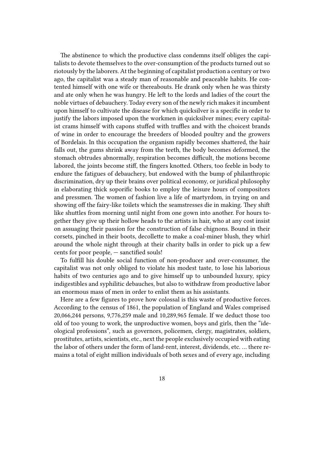The abstinence to which the productive class condemns itself obliges the capitalists to devote themselves to the over-consumption of the products turned out so riotously by the laborers. At the beginning of capitalist production a century or two ago, the capitalist was a steady man of reasonable and peaceable habits. He contented himself with one wife or thereabouts. He drank only when he was thirsty and ate only when he was hungry. He left to the lords and ladies of the court the noble virtues of debauchery. Today every son of the newly rich makes it incumbent upon himself to cultivate the disease for which quicksilver is a specific in order to justify the labors imposed upon the workmen in quicksilver mines; every capitalist crams himself with capons stuffed with truffles and with the choicest brands of wine in order to encourage the breeders of blooded poultry and the growers of Bordelais. In this occupation the organism rapidly becomes shattered, the hair falls out, the gums shrink away from the teeth, the body becomes deformed, the stomach obtrudes abnormally, respiration becomes difficult, the motions become labored, the joints become stiff, the fingers knotted. Others, too feeble in body to endure the fatigues of debauchery, but endowed with the bump of philanthropic discrimination, dry up their brains over political economy, or juridical philosophy in elaborating thick soporific books to employ the leisure hours of compositors and pressmen. The women of fashion live a life of martyrdom, in trying on and showing off the fairy-like toilets which the seamstresses die in making. They shift like shuttles from morning until night from one gown into another. For hours together they give up their hollow heads to the artists in hair, who at any cost insist on assuaging their passion for the construction of false chignons. Bound in their corsets, pinched in their boots, decollette to make a coal-miner blush, they whirl around the whole night through at their charity balls in order to pick up a few cents for poor people, — sanctified souls!

To fulfill his double social function of non-producer and over-consumer, the capitalist was not only obliged to violate his modest taste, to lose his laborious habits of two centuries ago and to give himself up to unbounded luxury, spicy indigestibles and syphilitic debauches, but also to withdraw from productive labor an enormous mass of men in order to enlist them as his assistants.

Here are a few figures to prove how colossal is this waste of productive forces. According to the census of 1861, the population of England and Wales comprised 20,066,244 persons, 9,776,259 male and 10,289,965 female. If we deduct those too old of too young to work, the unproductive women, boys and girls, then the "ideological professions", such as governors, policemen, clergy, magistrates, soldiers, prostitutes, artists, scientists, etc., next the people exclusively occupied with eating the labor of others under the form of land-rent, interest, dividends, etc. … there remains a total of eight million individuals of both sexes and of every age, including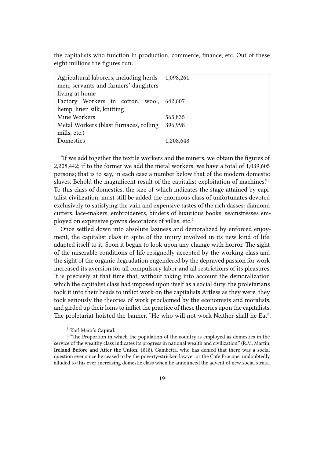the capitalists who function in production, commerce, finance, etc. Out of these eight millions the figures run:

| Agricultural laborers, including herds- | 1,098,261 |
|-----------------------------------------|-----------|
| men, servants and farmers' daughters    |           |
| living at home                          |           |
| Factory Workers in cotton, wool,        | 642,607   |
| hemp, linen silk, knitting              |           |
| Mine Workers                            | 565,835   |
| Metal Workers (blast furnaces, rolling  | 396,998   |
| mills, etc.)                            |           |
| Domestics                               | 1,208,648 |

"If we add together the textile workers and the miners, we obtain the figures of 2,208,442; if to the former we add the metal workers, we have a total of 1,039,605 persons; that is to say, in each case a number below that of the modern domestic slaves. Behold the magnificent result of the capitalist exploitation of machines."<sup>3</sup> To this class of domestics, the size of which indicates the stage attained by capitalist civilization, must still be added the enormous class of unfortunates devoted exclusively to satisfying the vain and expensive tastes of the rich dasses: diamond cutters, lace-makers, embroiderers, binders of luxurious books, seamstresses employed on expensive gowns decorators of villas, etc.<sup>4</sup>

Once settled down into absolute laziness and demoralized by enforced enjoyment, the capitalist class in spite of the injury involved in its new kind of life, adapted itself to it. Soon it began to look upon any change with horror. The sight of the miserable conditions of life resignedly accepted by the working class and the sight of the organic degradation engendered by the depraved passion for work increased its aversion for all compulsory labor and all restrictions of its pleasures. It is precisely at that time that, without taking into account the demoralization which the capitalist class had imposed upon itself as a social duty, the proletarians took it into their heads to inflict work on the capitalists Artless as they were, they took seriously the theories of work proclaimed by the economists and moralists, and girded up their loins to inflict the practice of these theories upon the capitalists. The proletariat hoisted the banner, "He who will not work Neither shall he Eat".

<sup>3</sup> Karl Marx's **Capital**.

<sup>&</sup>lt;sup>4</sup> "The Proportion in which the population of the country is employed as domestics in the service of the wealthy class indicates its progress in national wealth and civilization." (R.M. Martin, **Ireland Before and After the Union**, 1818). Gambetta, who has denied that there was a social question ever since he ceased to be the poverty-stricken lawyer or the Cafe Procope, undoubtedly alluded to this ever-increasing domestic class when he announced the advent of new social strata.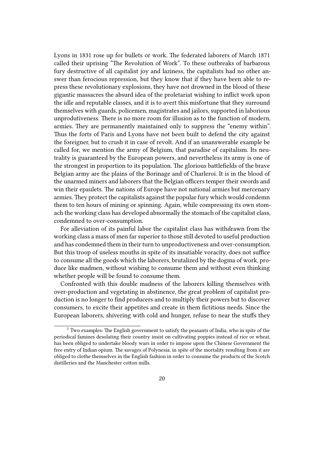Lyons in 1831 rose up for bullets or work. The federated laborers of March 1871 called their uprising "The Revolution of Work". To these outbreaks of barbarous fury destructive of all capitalist joy and laziness, the capitalists had no other answer than ferocious repression, but they know that if they have been able to repress these revolutionary explosions, they have not drowned in the blood of these gigantic massacres the absurd idea of the proletariat wishing to inflict work upon the idle and reputable classes, and it is to avert this misfortune that they surround themselves with guards, policemen, magistrates and jailors, supported in laborious unprodutiveness. There is no more room for illusion as to the function of modern, armies. They are permanently maintained only to suppress the "enemy within". Thus the forts of Paris and Lyons have not been built to defend the city against the foreigner, but to crush it in case of revolt. And if an unanswerable example be called for, we mention the army of Belgium, that paradise of capitalism. Its neutrality is guaranteed by the European powers, and nevertheless its army is one of the strongest in proportion to its population. The glorious battlefields of the brave Belgian army are the plains of the Borinage and of Charleroi. It is in the blood of the unarmed miners and laborers that the Belgian officers temper their swords and win their epaulets. The nations of Europe have not national armies but mercenary armies. They protect the capitalists against the popular fury which would condemn them to ten hours of mining or spinning. Again, while compressing its own stomach the working class has developed abnormally the stomach of the capitalist class, condemned to over-consumption.

For alleviation of its painful labor the capitalist class has withdrawn from the working class a mass of men far superior to those still devoted to useful production and has condemned them in their turn to unproductiveness and over-consumption. But this troop of useless mouths in spite of its insatiable voracity, does not suffice to consume all the goods which the laborers, brutalized by the dogma of work, produce like madmen, without wishing to consume them and without even thinking whether people will be found to consume them.

Confronted with this double madness of the laborers killing themselves with over-production and vegetating in abstinence, the great problem of capitalist production is no longer to find producers and to multiply their powers but to discover consumers, to excite their appetites and create in them fictitious needs. Since the European laborers, shivering with cold and hunger, refuse to near the stuffs they

<sup>5</sup> Two examples: The English government to satisfy the peasants of India, who in spite of the periodical famines desolating their country insist on cultivating poppies instead of rice or wheat, has been obliged to undertake bloody wars in order to impose upon the Chinese Government the free entry of Indian opium. The savages of Polynesia. in spite of the mortality resulting from it are obliged to clothe themselves in the English fashion in order to consume the products of the Scotch distilleries and the Manchester cotton mills.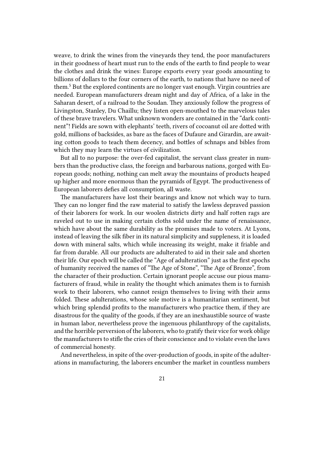weave, to drink the wines from the vineyards they tend, the poor manufacturers in their goodness of heart must run to the ends of the earth to find people to wear the clothes and drink the wines: Europe exports every year goods amounting to billions of dollars to the four corners of the earth, to nations that have no need of them.<sup>5</sup> But the explored continents are no longer vast enough. Virgin countries are needed. European manufacturers dream night and day of Africa, of a lake in the Saharan desert, of a railroad to the Soudan. They anxiously follow the progress of Livingston, Stanley, Du Chaillu; they listen open-mouthed to the marvelous tales of these brave travelers. What unknown wonders are contained in the "dark continent"! Fields are sown with elephants' teeth, rivers of cocoanut oil are dotted with gold, millions of backsides, as bare as the faces of Dufaure and Girardin, are awaiting cotton goods to teach them decency, and bottles of schnaps and bibles from which they may learn the virtues of civilization.

But all to no purpose: the over-fed capitalist, the servant class greater in numbers than the productive class, the foreign and barbarous nations, gorged with European goods; nothing, nothing can melt away the mountains of products heaped up higher and more enormous than the pyramids of Egypt. The productiveness of European laborers defies all consumption, all waste.

The manufacturers have lost their bearings and know not which way to turn. They can no longer find the raw material to satisfy the lawless depraved passion of their laborers for work. In our woolen districts dirty and half rotten rags are raveled out to use in making certain cloths sold under the name of renaissance, which have about the same durability as the promises made to voters. At Lyons, instead of leaving the silk fiber in its natural simplicity and suppleness, it is loaded down with mineral salts, which while increasing its weight, make it friable and far from durable. All our products are adulterated to aid in their sale and shorten their life. Our epoch will be called the "Age of adulteration" just as the first epochs of humanity received the names of "The Age of Stone", "The Age of Bronze", from the character of their production. Certain ignorant people accuse our pious manufacturers of fraud, while in reality the thought which animates them is to furnish work to their laborers, who cannot resign themselves to living with their arms folded. These adulterations, whose sole motive is a humanitarian sentiment, but which bring splendid profits to the manufacturers who practice them, if they are disastrous for the quality of the goods, if they are an inexhaustible source of waste in human labor, nevertheless prove the ingenuous philanthropy of the capitalists, and the horrible perversion of the laborers, who to gratify their vice for work oblige the manufacturers to stifle the cries of their conscience and to violate even the laws of commercial honesty.

And nevertheless, in spite of the over-production of goods, in spite of the adulterations in manufacturing, the laborers encumber the market in countless numbers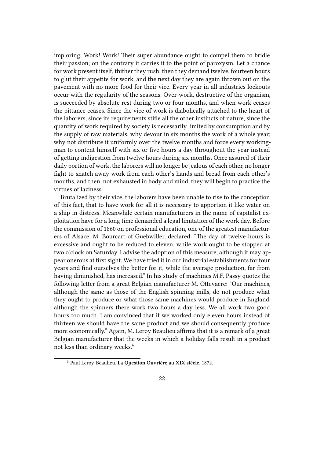imploring: Work! Work! Their super abundance ought to compel them to bridle their passion; on the contrary it carries it to the point of paroxysm. Let a chance for work present itself, thither they rush; then they demand twelve, fourteen hours to glut their appetite for work, and the next day they are again thrown out on the pavement with no more food for their vice. Every year in all industries lockouts occur with the regularity of the seasons. Over-work, destructive of the organism, is succeeded by absolute rest during two or four months, and when work ceases the pittance ceases. Since the vice of work is diabolically attached to the heart of the laborers, since its requirements stifle all the other instincts of nature, since the quantity of work required by society is necessarily limited by consumption and by the supply of raw materials, why devour in six months the work of a whole year; why not distribute it uniformly over the twelve months and force every workingman to content himself with six or five hours a day throughout the year instead of getting indigestion from twelve hours during six months. Once assured of their daily portion of work, the laborers will no longer be jealous of each other, no longer fight to snatch away work from each other's hands and bread from each other's mouths, and then, not exhausted in body and mind, they will begin to practice the virtues of laziness.

Brutalized by their vice, the laborers have been unable to rise to the conception of this fact, that to have work for all it is necessary to apportion it like water on a ship in distress. Meanwhile certain manufacturers in the name of capitalist exploitation have for a long time demanded a legal limitation of the work day. Before the commission of 1860 on professional education, one of the greatest manufacturers of Alsace, M. Bourcart of Guebwiller, declared: "The day of twelve hours is excessive and ought to be reduced to eleven, while work ought to be stopped at two o'clock on Saturday. I advise the adoption of this measure, although it may appear onerous at first sight. We have tried it in our industrial establishments for four years and find ourselves the better for it, while the average production, far from having diminished, has increased." In his study of machines M.F. Passy quotes the following letter from a great Belgian manufacturer M. Ottevaere: "Our machines, although the same as those of the English spinning mills, do not produce what they ought to produce or what those same machines would produce in England, although the spinners there work two hours a day less. We all work two good hours too much. I am convinced that if we worked only eleven hours instead of thirteen we should have the same product and we should consequently produce more economically." Again, M. Leroy Beaulieu affirms that it is a remark of a great Belgian manufacturer that the weeks in which a holiday falls result in a product not less than ordinary weeks.<sup>6</sup>

<sup>6</sup> Paul Leroy-Beaulieu, **La Question Ouvrière au XIX siècle**, 1872.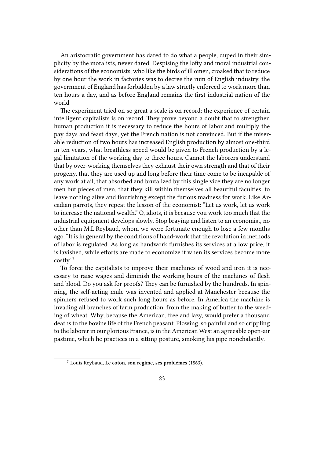An aristocratic government has dared to do what a people, duped in their simplicity by the moralists, never dared. Despising the lofty and moral industrial considerations of the economists, who like the birds of ill omen, croaked that to reduce by one hour the work in factories was to decree the ruin of English industry, the government of England has forbidden by a law strictly enforced to work more than ten hours a day, and as before England remains the first industrial nation of the world.

The experiment tried on so great a scale is on record; the experience of certain intelligent capitalists is on record. They prove beyond a doubt that to strengthen human production it is necessary to reduce the hours of labor and multiply the pay days and feast days, yet the French nation is not convinced. But if the miserable reduction of two hours has increased English production by almost one-third in ten years, what breathless speed would be given to French production by a legal limitation of the working day to three hours. Cannot the laborers understand that by over-working themselves they exhaust their own strength and that of their progeny, that they are used up and long before their time come to be incapable of any work at ail, that absorbed and brutalized by this single vice they are no longer men but pieces of men, that they kill within themselves all beautiful faculties, to leave nothing alive and flourishing except the furious madness for work. Like Arcadian parrots, they repeat the lesson of the economist: "Let us work, let us work to increase the national wealth." O, idiots, it is because you work too much that the industrial equipment develops slowly. Stop braying and listen to an economist, no other than M.L.Reybaud, whom we were fortunate enough to lose a few months ago. "It is in general by the conditions of hand-work that the revolution in methods of labor is regulated. As long as handwork furnishes its services at a low price, it is lavished, while efforts are made to economize it when its services become more costly."<sup>7</sup>

To force the capitalists to improve their machines of wood and iron it is necessary to raise wages and diminish the working hours of the machines of flesh and blood. Do you ask for proofs? They can be furnished by the hundreds. In spinning, the self-acting mule was invented and applied at Manchester because the spinners refused to work such long hours as before. In America the machine is invading all branches of farm production, from the making of butter to the weeding of wheat. Why, because the American, free and lazy, would prefer a thousand deaths to the bovine life of the French peasant. Plowing, so painful and so crippling to the laborer in our glorious France, is in the American West an agreeable open-air pastime, which he practices in a sitting posture, smoking his pipe nonchalantly.

<sup>7</sup> Louis Reybaud, **Le coton, son regime, ses problèmes** (1863).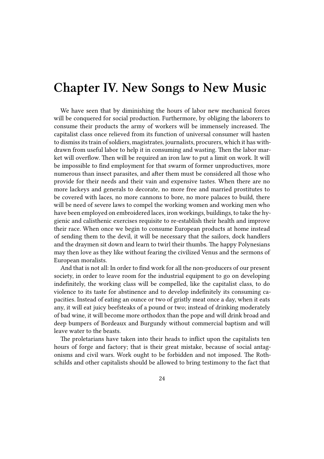#### **Chapter IV. New Songs to New Music**

We have seen that by diminishing the hours of labor new mechanical forces will be conquered for social production. Furthermore, by obliging the laborers to consume their products the army of workers will be immensely increased. The capitalist class once relieved from its function of universal consumer will hasten to dismiss its train of soldiers, magistrates, journalists, procurers, which it has withdrawn from useful labor to help it in consuming and wasting. Then the labor market will overflow. Then will be required an iron law to put a limit on work. It will be impossible to find employment for that swarm of former unproductives, more numerous than insect parasites, and after them must be considered all those who provide for their needs and their vain and expensive tastes. When there are no more lackeys and generals to decorate, no more free and married prostitutes to be covered with laces, no more cannons to bore, no more palaces to build, there will be need of severe laws to compel the working women and working men who have been employed on embroidered laces, iron workings, buildings, to take the hygienic and calisthenic exercises requisite to re-establish their health and improve their race. When once we begin to consume European products at home instead of sending them to the devil, it will be necessary that the sailors, dock handlers and the draymen sit down and learn to twirl their thumbs. The happy Polynesians may then love as they like without fearing the civilized Venus and the sermons of European moralists.

And that is not all: In order to find work for all the non-producers of our present society, in order to leave room for the industrial equipment to go on developing indefinitely, the working class will be compelled, like the capitalist class, to do violence to its taste for abstinence and to develop indefinitely its consuming capacities. Instead of eating an ounce or two of gristly meat once a day, when it eats any, it will eat juicy beefsteaks of a pound or two; instead of drinking moderately of bad wine, it will become more orthodox than the pope and will drink broad and deep bumpers of Bordeaux and Burgundy without commercial baptism and will leave water to the beasts.

The proletarians have taken into their heads to inflict upon the capitalists ten hours of forge and factory; that is their great mistake, because of social antagonisms and civil wars. Work ought to be forbidden and not imposed. The Rothschilds and other capitalists should be allowed to bring testimony to the fact that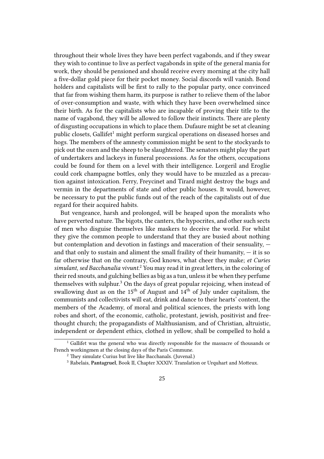throughout their whole lives they have been perfect vagabonds, and if they swear they wish to continue to live as perfect vagabonds in spite of the general mania for work, they should be pensioned and should receive every morning at the city hall a five-dollar gold piece for their pocket money. Social discords will vanish. Bond holders and capitalists will be first to rally to the popular party, once convinced that far from wishing them harm, its purpose is rather to relieve them of the labor of over-consumption and waste, with which they have been overwhelmed since their birth. As for the capitalists who are incapable of proving their title to the name of vagabond, they will be allowed to follow their instincts. There are plenty of disgusting occupations in which to place them. Dufaure might be set at cleaning public closets, Gallifet<sup>1</sup> might perform surgical operations on diseased horses and hogs. The members of the amnesty commission might be sent to the stockyards to pick out the oxen and the sheep to be slaughtered. The senators might play the part of undertakers and lackeys in funeral processions. As for the others, occupations could be found for them on a level with their intelligence. Lorgeril and Eroglie could cork champagne bottles, only they would have to be muzzled as a precaution against intoxication. Ferry, Freycinet and Tirard might destroy the bugs and vermin in the departments of state and other public houses. It would, however, be necessary to put the public funds out of the reach of the capitalists out of due regard for their acquired habits.

But vengeance, harsh and prolonged, will be heaped upon the moralists who have perverted nature. The bigots, the canters, the hypocrites, and other such sects of men who disguise themselves like maskers to deceive the world. For whilst they give the common people to understand that they are busied about nothing but contemplation and devotion in fastings and maceration of their sensuality, and that only to sustain and aliment the small fraility of their humanity,  $-$  it is so far otherwise that on the contrary, God knows, what cheer they make; *et Curies simulant, sed Bacchanalia vivunt.*<sup>2</sup> You may read it in great letters, in the coloring of their red snouts, and gulching bellies as big as a tun, unless it be when they perfume themselves with sulphur.<sup>3</sup> On the days of great popular rejoicing, when instead of swallowing dust as on the 15<sup>th</sup> of August and  $14<sup>th</sup>$  of July under capitalism, the communists and collectivists will eat, drink and dance to their hearts' content, the members of the Academy, of moral and political sciences, the priests with long robes and short, of the economic, catholic, protestant, jewish, positivist and freethought church; the propagandists of Malthusianism, and of Christian, altruistic, independent or dependent ethics, clothed in yellow, shall be compelled to hold a

<sup>&</sup>lt;sup>1</sup> Gallifet was the general who was directly responsible for the massacre of thousands or French workingmen at the closing days of the Paris Commune.

<sup>&</sup>lt;sup>2</sup> They simulate Curius but live like Bacchanals. (Juvenal.)

<sup>3</sup> Rabelais, **Pantagruel**, Book II, Chapter XXXIV. Translation or Urquhart and Motteux.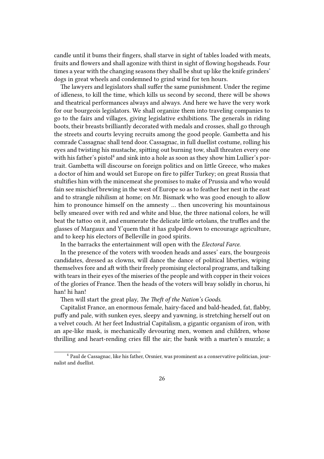candle until it bums their fingers, shall starve in sight of tables loaded with meats, fruits and flowers and shall agonize with thirst in sight of flowing hogsheads. Four times a year with the changing seasons they shall be shut up like the knife grinders' dogs in great wheels and condemned to grind wind for ten hours.

The lawyers and legislators shall suffer the same punishment. Under the regime of idleness, to kill the time, which kills us second by second, there will be shows and theatrical performances always and always. And here we have the very work for our bourgeois legislators. We shall organize them into traveling companies to go to the fairs and villages, giving legislative exhibitions. The generals in riding boots, their breasts brilliantly decorated with medals and crosses, shall go through the streets and courts levying recruits among the good people. Gambetta and his comrade Cassagnac shall tend door. Cassagnac, in full duellist costume, rolling his eyes and twisting his mustache, spitting out burning tow, shall threaten every one with his father's pistol<sup>4</sup> and sink into a hole as soon as they show him Lullier's portrait. Gambetta will discourse on foreign politics and on little Greece, who makes a doctor of him and would set Europe on fire to pilfer Turkey; on great Russia that stultifies him with the mincemeat she promises to make of Prussia and who would fain see mischief brewing in the west of Europe so as to feather her nest in the east and to strangle nihilism at home; on Mr. Bismark who was good enough to allow him to pronounce himself on the amnesty … then uncovering his mountainous belly smeared over with red and white and blue, the three national colors, he will beat the tattoo on it, and enumerate the delicate little ortolans, the truffles and the glasses of Margaux and Y'quem that it has gulped down to encourage agriculture, and to keep his electors of Belleville in good spirits.

In the barracks the entertainment will open with the *Electoral Farce*.

In the presence of the voters with wooden heads and asses' ears, the bourgeois candidates, dressed as clowns, will dance the dance of political liberties, wiping themselves fore and aft with their freely promising electoral programs, and talking with tears in their eyes of the miseries of the people and with copper in their voices of the glories of France. Then the heads of the voters will bray solidly in chorus, hi han! hi han!

Then will start the great play, *The Theft of the Nation's Goods*.

Capitalist France, an enormous female, hairy-faced and bald-headed, fat, flabby, puffy and pale, with sunken eyes, sleepy and yawning, is stretching herself out on a velvet couch. At her feet Industrial Capitalism, a gigantic organism of iron, with an ape-like mask, is mechanically devouring men, women and children, whose thrilling and heart-rending cries fill the air; the bank with a marten's muzzle; a

<sup>4</sup> Paul de Cassagnac, like his father, Orsnier, was prominent as a conservative politician, journalist and duellist.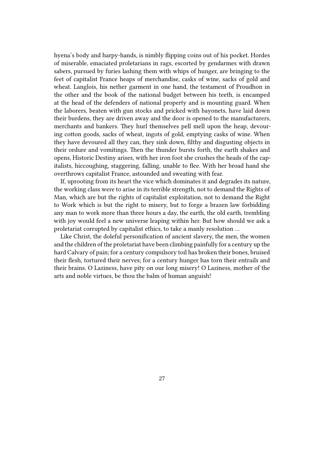hyena's body and harpy-hands, is nimbly flipping coins out of his pocket. Hordes of miserable, emaciated proletarians in rags, escorted by gendarmes with drawn sabers, pursued by furies lashing them with whips of hunger, are bringing to the feet of capitalist France heaps of merchandise, casks of wine, sacks of gold and wheat. Langlois, his nether garment in one hand, the testament of Proudhon in the other and the book of the national budget between his teeth, is encamped at the head of the defenders of national property and is mounting guard. When the laborers, beaten with gun stocks and pricked with bayonets, have laid down their burdens, they are driven away and the door is opened to the manufacturers, merchants and bankers. They hurl themselves pell mell upon the heap, devouring cotton goods, sacks of wheat, ingots of gold, emptying casks of wine. When they have devoured all they can, they sink down, filthy and disgusting objects in their ordure and vomitings. Then the thunder bursts forth, the earth shakes and opens, Historic Destiny arises, with her iron foot she crushes the heads of the capitalists, hiccoughing, staggering, falling, unable to flee. With her broad hand she overthrows capitalist France, astounded and sweating with fear.

If, uprooting from its heart the vice which dominates it and degrades its nature, the working class were to arise in its terrible strength, not to demand the Rights of Man, which are but the rights of capitalist exploitation, not to demand the Right to Work which is but the right to misery, but to forge a brazen law forbidding any man to work more than three hours a day, the earth, the old earth, trembling with joy would feel a new universe leaping within her. But how should we ask a proletariat corrupted by capitalist ethics, to take a manly resolution …

Like Christ, the doleful personification of ancient slavery, the men, the women and the children of the proletariat have been climbing painfully for a century up the hard Calvary of pain; for a century compulsory toil has broken their bones, bruised their flesh, tortured their nerves; for a century hunger has torn their entrails and their brains. O Laziness, have pity on our long misery! O Laziness, mother of the arts and noble virtues, be thou the balm of human anguish!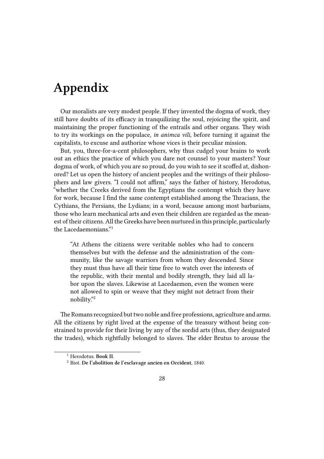### **Appendix**

Our moralists are very modest people. If they invented the dogma of work, they still have doubts of its efficacy in tranquilizing the soul, rejoicing the spirit, and maintaining the proper functioning of the entrails and other organs. They wish to try its workings on the populace, *in animca vili*, before turning it against the capitalists, to excuse and authorize whose vices is their peculiar mission.

But, you, three-for-a-cent philosophers, why thus cudgel your brains to work out an ethics the practice of which you dare not counsel to your masters? Your dogma of work, of which you are so proud, do you wish to see it scoffed at, dishonored? Let us open the history of ancient peoples and the writings of their philosophers and law givers. "I could not affirm," says the father of history, Herodotus, "whether the Creeks derived from the Egyptians the contempt which they have for work, because I find the same contempt established among the Thracians, the Cythians, the Persians, the Lydians; in a word, because among most barbarians, those who learn mechanical arts and even their children are regarded as the meanest of their citizens. All the Greeks have been nurtured in this principle, particularly the Lacedaemonians."<sup>1</sup>

"At Athens the citizens were veritable nobles who had to concern themselves but with the defense and the administration of the community, like the savage warriors from whom they descended. Since they must thus have all their time free to watch over the interests of the republic, with their mental and bodily strength, they laid all labor upon the slaves. Likewise at Lacedaemon, even the women were not allowed to spin or weave that they might not detract from their nobility."<sup>2</sup>

The Romans recognized but two noble and free professions, agriculture and arms. All the citizens by right lived at the expense of the treasury without being constrained to provide for their living by any of the sordid arts (thus, they designated the trades), which rightfully belonged to slaves. The elder Brutus to arouse the

<sup>1</sup> Herodotus. **Book II**.

<sup>2</sup> Biot. **De l'abolition de l'esclavage ancien en Occident**, 1840.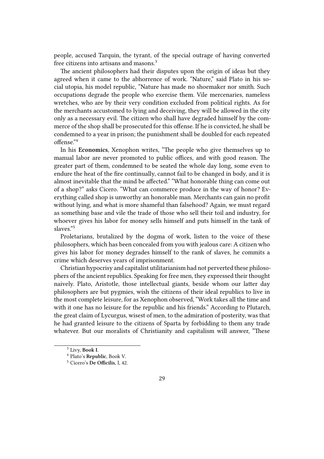people, accused Tarquin, the tyrant, of the special outrage of having converted free citizens into artisans and masons.<sup>3</sup>

The ancient philosophers had their disputes upon the origin of ideas but they agreed when it came to the abhorrence of work. "Nature," said Plato in his social utopia, his model republic, "Nature has made no shoemaker nor smith. Such occupations degrade the people who exercise them. Vile mercenaries, nameless wretches, who are by their very condition excluded from political rights. As for the merchants accustomed to lying and deceiving, they will be allowed in the city only as a necessary evil. The citizen who shall have degraded himself by the commerce of the shop shall be prosecuted for this offense. If he is convicted, he shall be condemned to a year in prison; the punishment shall be doubled for each repeated offense."<sup>4</sup>

In his **Economics**, Xenophon writes, "The people who give themselves up to manual labor are never promoted to public offices, and with good reason. The greater part of them, condemned to be seated the whole day long, some even to endure the heat of the fire continually, cannot fail to be changed in body, and it is almost inevitable that the mind be affected." "What honorable thing can come out of a shop?" asks Cicero. "What can commerce produce in the way of honor? Everything called shop is unworthy an honorable man. Merchants can gain no profit without lying, and what is more shameful than falsehood? Again, we must regard as something base and vile the trade of those who sell their toil and industry, for whoever gives his labor for money sells himself and puts himself in the tank of slaves."<sup>5</sup>

Proletarians, brutalized by the dogma of work, listen to the voice of these philosophers, which has been concealed from you with jealous care: A citizen who gives his labor for money degrades himself to the rank of slaves, he commits a crime which deserves years of imprisonment.

Christian hypocrisy and capitalist utilitarianism had not perverted these philosophers of the ancient republics. Speaking for free men, they expressed their thought naively. Plato, Aristotle, those intellectual giants, beside whom our latter day philosophers are but pygmies, wish the citizens of their ideal republics to live in the most complete leisure, for as Xenophon observed, "Work takes all the time and with it one has no leisure for the republic and his friends." According to Plutarch, the great claim of Lycurgus, wisest of men, to the admiration of posterity, was that he had granted leisure to the citizens of Sparta by forbidding to them any trade whatever. But our moralists of Christianity and capitalism will answer, "These

<sup>3</sup> Livy, **Book I**.

<sup>4</sup> Plato's **Republic**, Book V.

<sup>5</sup> Cicero's **De Officilis**, I, 42.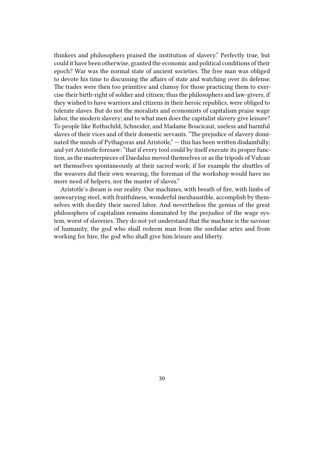thinkers and philosophers praised the institution of slavery." Perfectly true, but could it have been otherwise, granted the economic and political conditions of their epoch? War was the normal state of ancient societies. The free man was obliged to devote his time to discussing the affairs of state and watching over its defense. The trades were then too primitive and clumsy for those practicing them to exercise their birth-right of soldier and citizen; thus the philosophers and law-givers, if they wished to have warriors and citizens in their heroic republics, were obliged to tolerate slaves. But do not the moralists and economists of capitalism praise wage labor, the modern slavery; and to what men does the capitalist slavery give leisure? To people like Rothschild, Schneider, and Madame Boucicaut, useless and harmful slaves of their vices and of their domestic servants. "The prejudice of slavery dominated the minds of Pythagoras and Aristotle,"  $-$  this has been written disdainfully; and yet Aristotle foresaw: "that if every tool could by itself execute its proper function, as the masterpieces of Daedalus moved themselves or as the tripods of Vulcan set themselves spontaneously at their sacred work; if for example the shuttles of the weavers did their own weaving, the foreman of the workshop would have no more need of helpers, nor the master of slaves."

Aristotle's dream is our reality. Our machines, with breath of fire, with limbs of unwearying steel, with fruitfulness, wonderful inexhaustible, accomplish by themselves with docility their sacred labor. And nevertheless the genius of the great philosophers of capitalism remains dominated by the prejudice of the wage system, worst of slaveries. They do not yet understand that the machine is the saviour of humanity, the god who shall redeem man from the sordidae artes and from working for hire, the god who shall give him leisure and liberty.